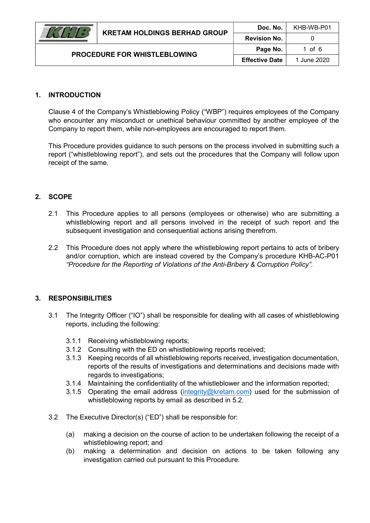### 1. INTRODUCTION

Clause 4 of the Company's Whistleblowing Policy ("WBP") requires employees of the Company who encounter any misconduct or unethical behaviour committed by another employee of the Company to report them, while non-employees are encouraged to report them.

This Procedure provides guidance to such persons on the process involved in submitting such a report ("whistleblowing report"), and sets out the procedures that the Company will follow upon receipt of the same.

## 2. SCOPE

- 2.1 This Procedure applies to all persons (employees or otherwise) who are submitting a whistleblowing report and all persons involved in the receipt of such report and the subsequent investigation and consequential actions arising therefrom.
- 2.2 This Procedure does not apply where the whistleblowing report pertains to acts of bribery and/or corruption, which are instead covered by the Company's procedure KHB-AC-P01 "Procedure for the Reporting of Violations of the Anti-Bribery & Corruption Policy".

#### 3. RESPONSIBILITIES

- 3.1 The Integrity Officer ("IO") shall be responsible for dealing with all cases of whistleblowing reports, including the following:
	- 3.1.1 Receiving whistleblowing reports;
	- 3.1.2 Consulting with the ED on whistleblowing reports received;
	- 3.1.3 Keeping records of all whistleblowing reports received, investigation documentation, reports of the results of investigations and determinations and decisions made with regards to investigations;
	- 3.1.4 Maintaining the confidentiality of the whistleblower and the information reported;
	- 3.1.5 Operating the email address (integrity@kretam.com) used for the submission of whistleblowing reports by email as described in 5.2.
- 3.2 The Executive Director(s) ("ED") shall be responsible for:
	- (a) making a decision on the course of action to be undertaken following the receipt of a whistleblowing report; and
	- (b) making a determination and decision on actions to be taken following any investigation carried out pursuant to this Procedure.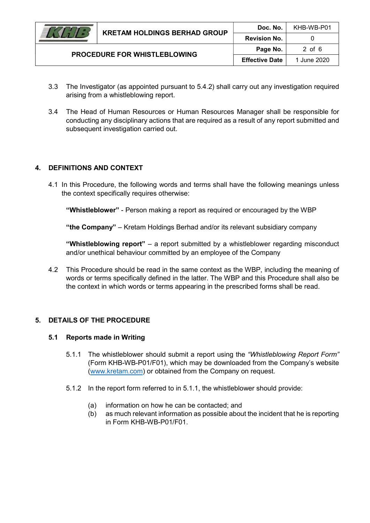

PROCEDURE FOR WHISTLEBLOWING

- 3.3 The Investigator (as appointed pursuant to 5.4.2) shall carry out any investigation required arising from a whistleblowing report.
- 3.4 The Head of Human Resources or Human Resources Manager shall be responsible for conducting any disciplinary actions that are required as a result of any report submitted and subsequent investigation carried out.

## 4. DEFINITIONS AND CONTEXT

4.1 In this Procedure, the following words and terms shall have the following meanings unless the context specifically requires otherwise:

"Whistleblower" - Person making a report as required or encouraged by the WBP

"the Company" – Kretam Holdings Berhad and/or its relevant subsidiary company

"Whistleblowing report" – a report submitted by a whistleblower regarding misconduct and/or unethical behaviour committed by an employee of the Company

4.2 This Procedure should be read in the same context as the WBP, including the meaning of words or terms specifically defined in the latter. The WBP and this Procedure shall also be the context in which words or terms appearing in the prescribed forms shall be read.

## 5. DETAILS OF THE PROCEDURE

#### 5.1 Reports made in Writing

- 5.1.1 The whistleblower should submit a report using the "Whistleblowing Report Form" (Form KHB-WB-P01/F01), which may be downloaded from the Company's website (www.kretam.com) or obtained from the Company on request.
- 5.1.2 In the report form referred to in 5.1.1, the whistleblower should provide:
	- (a) information on how he can be contacted; and
	- (b) as much relevant information as possible about the incident that he is reporting in Form KHB-WB-P01/F01.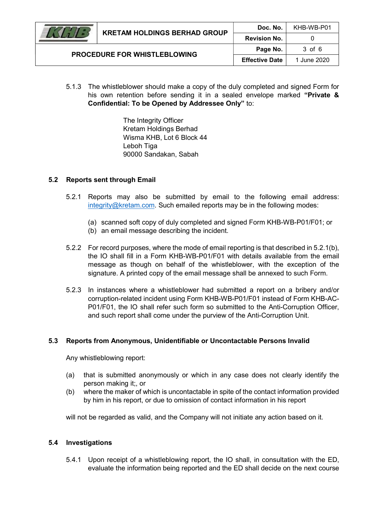

5.1.3 The whistleblower should make a copy of the duly completed and signed Form for his own retention before sending it in a sealed envelope marked "Private & Confidential: To be Opened by Addressee Only" to:

> The Integrity Officer Kretam Holdings Berhad Wisma KHB, Lot 6 Block 44 Leboh Tiga 90000 Sandakan, Sabah

#### 5.2 Reports sent through Email

- 5.2.1 Reports may also be submitted by email to the following email address: integrity@kretam.com. Such emailed reports may be in the following modes:
	- (a) scanned soft copy of duly completed and signed Form KHB-WB-P01/F01; or
	- (b) an email message describing the incident.
- 5.2.2 For record purposes, where the mode of email reporting is that described in 5.2.1(b), the IO shall fill in a Form KHB-WB-P01/F01 with details available from the email message as though on behalf of the whistleblower, with the exception of the signature. A printed copy of the email message shall be annexed to such Form.
- 5.2.3 In instances where a whistleblower had submitted a report on a bribery and/or corruption-related incident using Form KHB-WB-P01/F01 instead of Form KHB-AC-P01/F01, the IO shall refer such form so submitted to the Anti-Corruption Officer, and such report shall come under the purview of the Anti-Corruption Unit.

#### 5.3 Reports from Anonymous, Unidentifiable or Uncontactable Persons Invalid

Any whistleblowing report:

- (a) that is submitted anonymously or which in any case does not clearly identify the person making it;, or
- (b) where the maker of which is uncontactable in spite of the contact information provided by him in his report, or due to omission of contact information in his report

will not be regarded as valid, and the Company will not initiate any action based on it.

#### 5.4 Investigations

5.4.1 Upon receipt of a whistleblowing report, the IO shall, in consultation with the ED, evaluate the information being reported and the ED shall decide on the next course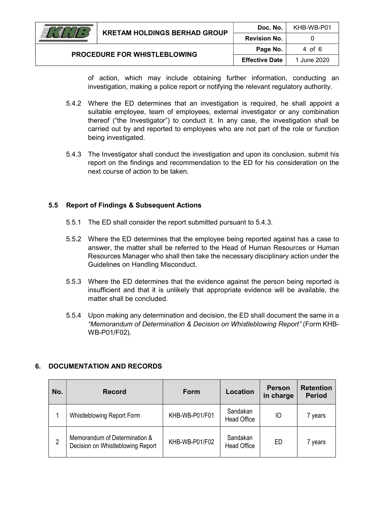

of action, which may include obtaining further information, conducting an investigation, making a police report or notifying the relevant regulatory authority.

- 5.4.2 Where the ED determines that an investigation is required, he shall appoint a suitable employee, team of employees, external investigator or any combination thereof ("the Investigator") to conduct it. In any case, the investigation shall be carried out by and reported to employees who are not part of the role or function being investigated.
- 5.4.3 The Investigator shall conduct the investigation and upon its conclusion, submit his report on the findings and recommendation to the ED for his consideration on the next course of action to be taken.

## 5.5 Report of Findings & Subsequent Actions

- 5.5.1 The ED shall consider the report submitted pursuant to 5.4.3.
- 5.5.2 Where the ED determines that the employee being reported against has a case to answer, the matter shall be referred to the Head of Human Resources or Human Resources Manager who shall then take the necessary disciplinary action under the Guidelines on Handling Misconduct.
- 5.5.3 Where the ED determines that the evidence against the person being reported is insufficient and that it is unlikely that appropriate evidence will be available, the matter shall be concluded.
- 5.5.4 Upon making any determination and decision, the ED shall document the same in a "Memorandum of Determination & Decision on Whistleblowing Report" (Form KHB-WB-P01/F02).

## 6. DOCUMENTATION AND RECORDS

| No. | <b>Record</b>                                                      | <b>Form</b>    | Location                       | <b>Person</b><br>in charge | <b>Retention</b><br><b>Period</b> |
|-----|--------------------------------------------------------------------|----------------|--------------------------------|----------------------------|-----------------------------------|
|     | Whistleblowing Report Form                                         | KHB-WB-P01/F01 | Sandakan<br><b>Head Office</b> | IО                         | years                             |
| 2   | Memorandum of Determination &<br>Decision on Whistleblowing Report | KHB-WB-P01/F02 | Sandakan<br><b>Head Office</b> | <b>ED</b>                  | years                             |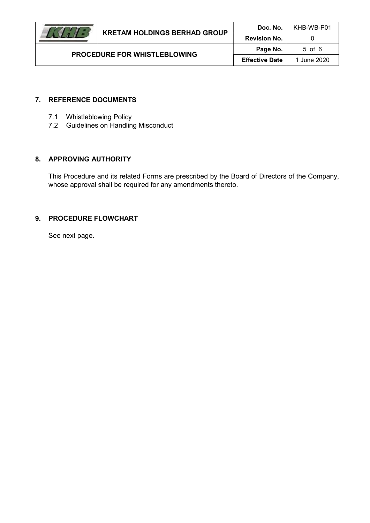Doc. No. | KHB-WB-P01

## 7. REFERENCE DOCUMENTS

- 7.1 Whistleblowing Policy
- 7.2 Guidelines on Handling Misconduct

PROCEDURE FOR WHISTLEBLOWING

## 8. APPROVING AUTHORITY

This Procedure and its related Forms are prescribed by the Board of Directors of the Company, whose approval shall be required for any amendments thereto.

## 9. PROCEDURE FLOWCHART

See next page.